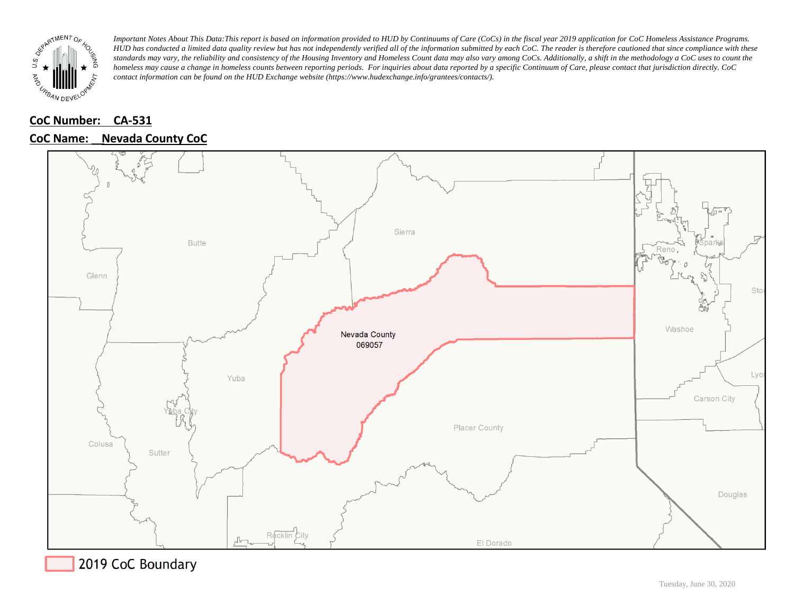

## **CoC Number: CA-531**

### **CoC Name: \_\_ Nevada County CoC**



2019 CoC Boundary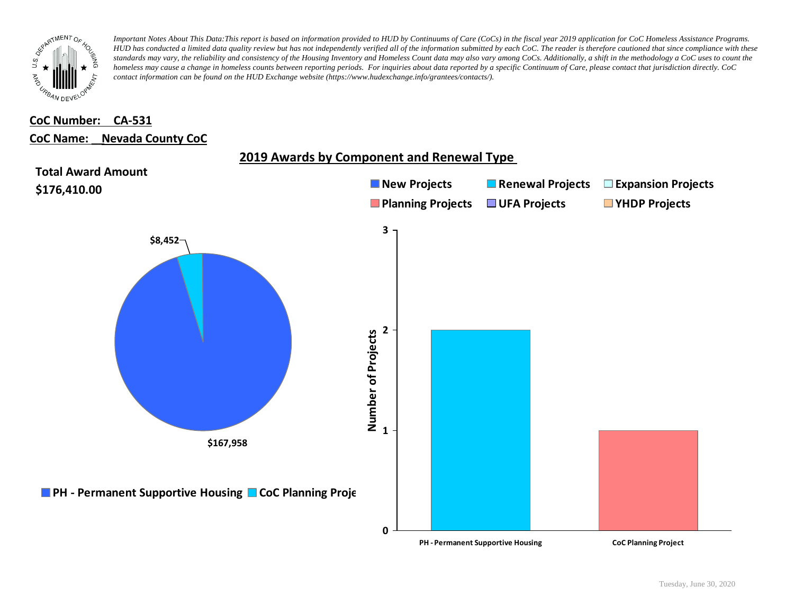

# **CoC Number: CA-531**

#### **CoC Name: \_\_ Nevada County CoC**

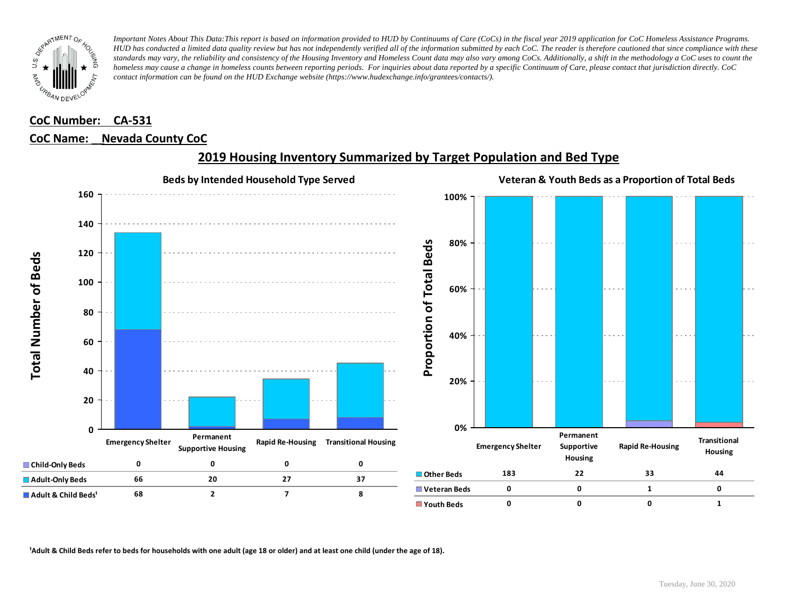

## **CoC Number: CA-531 CoC Name: \_\_ Nevada County CoC**



## **2019 Housing Inventory Summarized by Target Population and Bed Type**

<sup>1</sup> Adult & Child Beds refer to beds for households with one adult (age 18 or older) and at least one child (under the age of 18).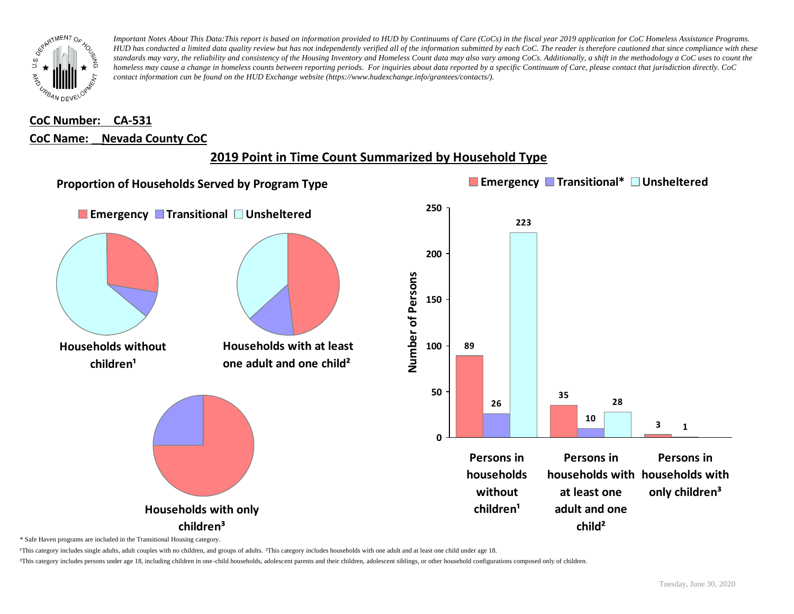

## **CoC Number: CA-531 CoC Name: \_\_ Nevada County CoC**





\* Safe Haven programs are included in the Transitional Housing category.

¹This category includes single adults, adult couples with no children, and groups of adults. ²This category includes households with one adult and at least one child under age 18.

³This category includes persons under age 18, including children in one-child households, adolescent parents and their children, adolescent siblings, or other household configurations composed only of children.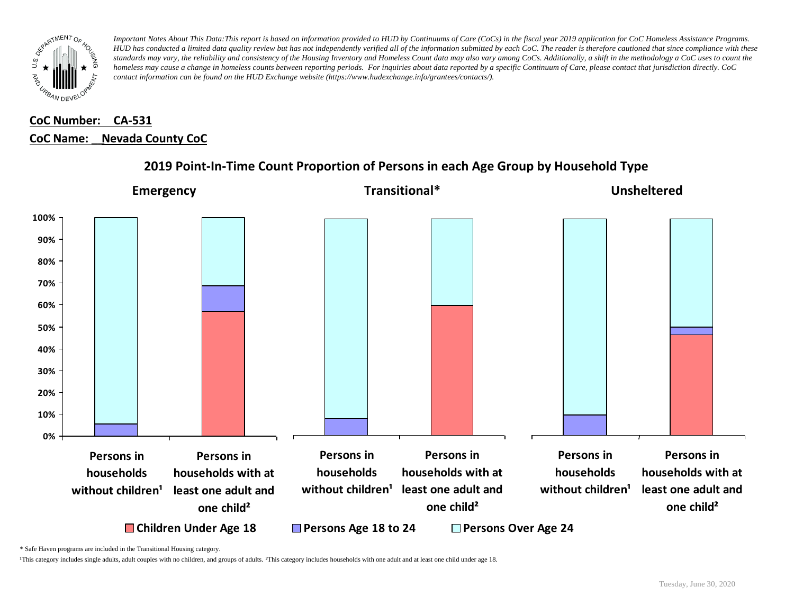

## **CoC Number: CA-531 CoC Name: \_\_ Nevada County CoC**



### **2019 Point-In-Time Count Proportion of Persons in each Age Group by Household Type**

\* Safe Haven programs are included in the Transitional Housing category.

¹This category includes single adults, adult couples with no children, and groups of adults. ²This category includes households with one adult and at least one child under age 18.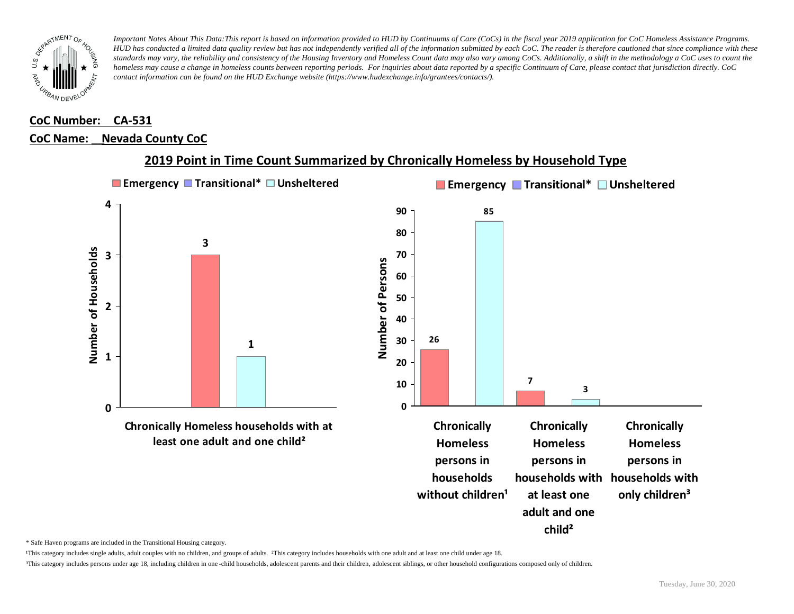

#### **CoC Number: CA-531**

#### **CoC Name: \_\_ Nevada County CoC**



#### **2019 Point in Time Count Summarized by Chronically Homeless by Household Type**

\* Safe Haven programs are included in the Transitional Housing category.

¹This category includes single adults, adult couples with no children, and groups of adults. ²This category includes households with one adult and at least one child under age 18.

³This category includes persons under age 18, including children in one -child households, adolescent parents and their children, adolescent siblings, or other household configurations composed only of children.